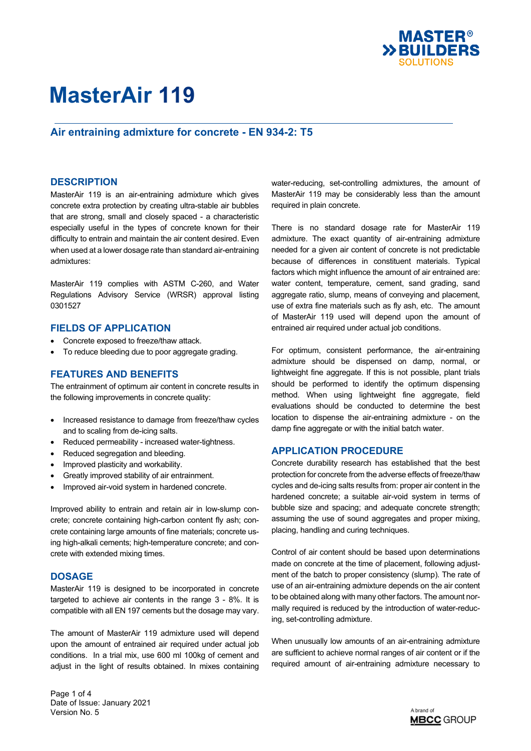

# **Air entraining admixture for concrete - EN 934-2: T5**

### **DESCRIPTION**

MasterAir 119 is an air-entraining admixture which gives concrete extra protection by creating ultra-stable air bubbles that are strong, small and closely spaced - a characteristic especially useful in the types of concrete known for their difficulty to entrain and maintain the air content desired. Even when used at a lower dosage rate than standard air-entraining admixtures:

MasterAir 119 complies with ASTM C-260, and Water Regulations Advisory Service (WRSR) approval listing 0301527

### **FIELDS OF APPLICATION**

- Concrete exposed to freeze/thaw attack.
- To reduce bleeding due to poor aggregate grading.

#### **FEATURES AND BENEFITS**

The entrainment of optimum air content in concrete results in the following improvements in concrete quality:

- Increased resistance to damage from freeze/thaw cycles and to scaling from de-icing salts.
- Reduced permeability increased water-tightness.
- Reduced segregation and bleeding.
- Improved plasticity and workability.
- Greatly improved stability of air entrainment.
- Improved air-void system in hardened concrete.

Improved ability to entrain and retain air in low-slump concrete; concrete containing high-carbon content fly ash; concrete containing large amounts of fine materials; concrete using high-alkali cements; high-temperature concrete; and concrete with extended mixing times.

#### **DOSAGE**

MasterAir 119 is designed to be incorporated in concrete targeted to achieve air contents in the range 3 - 8%. It is compatible with all EN 197 cements but the dosage may vary.

The amount of MasterAir 119 admixture used will depend upon the amount of entrained air required under actual job conditions. In a trial mix, use 600 ml 100kg of cement and adjust in the light of results obtained. In mixes containing water-reducing, set-controlling admixtures, the amount of MasterAir 119 may be considerably less than the amount required in plain concrete.

There is no standard dosage rate for MasterAir 119 admixture. The exact quantity of air-entraining admixture needed for a given air content of concrete is not predictable because of differences in constituent materials. Typical factors which might influence the amount of air entrained are: water content, temperature, cement, sand grading, sand aggregate ratio, slump, means of conveying and placement, use of extra fine materials such as fly ash, etc. The amount of MasterAir 119 used will depend upon the amount of entrained air required under actual job conditions.

For optimum, consistent performance, the air-entraining admixture should be dispensed on damp, normal, or lightweight fine aggregate. If this is not possible, plant trials should be performed to identify the optimum dispensing method. When using lightweight fine aggregate, field evaluations should be conducted to determine the best location to dispense the air-entraining admixture - on the damp fine aggregate or with the initial batch water.

### **APPLICATION PROCEDURE**

Concrete durability research has established that the best protection for concrete from the adverse effects of freeze/thaw cycles and de-icing salts results from: proper air content in the hardened concrete; a suitable air-void system in terms of bubble size and spacing; and adequate concrete strength; assuming the use of sound aggregates and proper mixing, placing, handling and curing techniques.

Control of air content should be based upon determinations made on concrete at the time of placement, following adjustment of the batch to proper consistency (slump). The rate of use of an air-entraining admixture depends on the air content to be obtained along with many other factors. The amount normally required is reduced by the introduction of water-reducing, set-controlling admixture.

When unusually low amounts of an air-entraining admixture are sufficient to achieve normal ranges of air content or if the required amount of air-entraining admixture necessary to

Page 1 of 4 Date of Issue: January 2021 Version No. 5

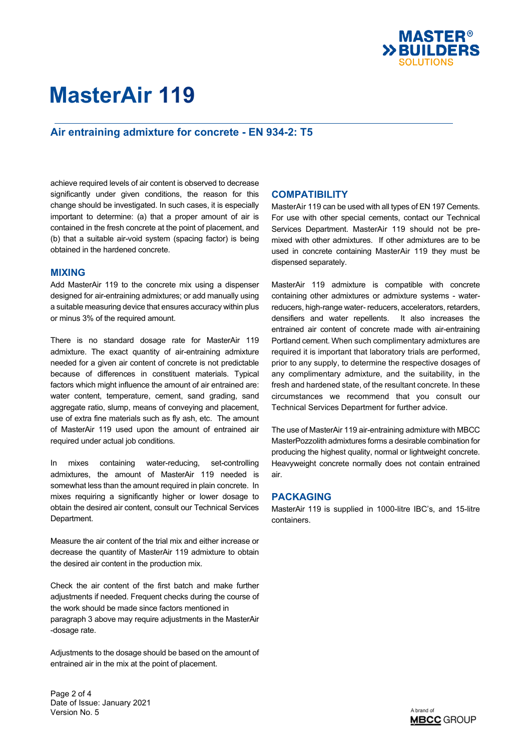

# **Air entraining admixture for concrete - EN 934-2: T5**

achieve required levels of air content is observed to decrease significantly under given conditions, the reason for this change should be investigated. In such cases, it is especially important to determine: (a) that a proper amount of air is contained in the fresh concrete at the point of placement, and (b) that a suitable air-void system (spacing factor) is being obtained in the hardened concrete.

### **MIXING**

Add MasterAir 119 to the concrete mix using a dispenser designed for air-entraining admixtures; or add manually using a suitable measuring device that ensures accuracy within plus or minus 3% of the required amount.

There is no standard dosage rate for MasterAir 119 admixture. The exact quantity of air-entraining admixture needed for a given air content of concrete is not predictable because of differences in constituent materials. Typical factors which might influence the amount of air entrained are: water content, temperature, cement, sand grading, sand agaregate ratio, slump, means of conveving and placement, use of extra fine materials such as fly ash, etc. The amount of MasterAir 119 used upon the amount of entrained air required under actual job conditions.

In mixes containing water-reducing, set-controlling admixtures, the amount of MasterAir 119 needed is somewhat less than the amount required in plain concrete. In mixes requiring a significantly higher or lower dosage to obtain the desired air content, consult our Technical Services Department.

Measure the air content of the trial mix and either increase or decrease the quantity of MasterAir 119 admixture to obtain the desired air content in the production mix.

Check the air content of the first batch and make further adjustments if needed. Frequent checks during the course of the work should be made since factors mentioned in paragraph 3 above may require adjustments in the MasterAir -dosage rate.

Adjustments to the dosage should be based on the amount of entrained air in the mix at the point of placement.

## **COMPATIBILITY**

MasterAir 119 can be used with all types of EN 197 Cements. For use with other special cements, contact our Technical Services Department. MasterAir 119 should not be premixed with other admixtures. If other admixtures are to be used in concrete containing MasterAir 119 they must be dispensed separately.

MasterAir 119 admixture is compatible with concrete containing other admixtures or admixture systems - waterreducers, high-range water- reducers, accelerators, retarders, densifiers and water repellents. It also increases the entrained air content of concrete made with air-entraining Portland cement. When such complimentary admixtures are required it is important that laboratory trials are performed, prior to any supply, to determine the respective dosages of any complimentary admixture, and the suitability, in the fresh and hardened state, of the resultant concrete. In these circumstances we recommend that you consult our Technical Services Department for further advice.

The use of MasterAir 119 air-entraining admixture with MBCC MasterPozzolith admixtures forms a desirable combination for producing the highest quality, normal or lightweight concrete. Heavyweight concrete normally does not contain entrained air.

## **PACKAGING**

MasterAir 119 is supplied in 1000-litre IBC's, and 15-litre containers.

Page 2 of 4 Date of Issue: January 2021 Version No. 5

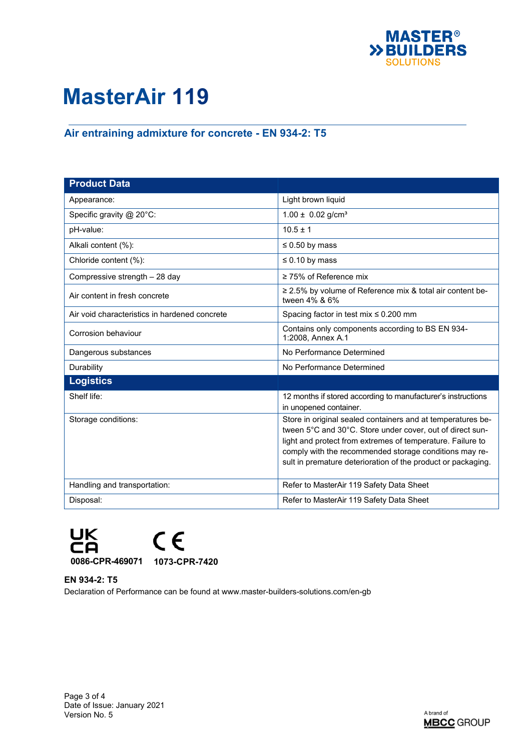

# **Air entraining admixture for concrete - EN 934-2: T5**

| <b>Product Data</b>                           |                                                                                                                                                                                                                                                                                                                  |
|-----------------------------------------------|------------------------------------------------------------------------------------------------------------------------------------------------------------------------------------------------------------------------------------------------------------------------------------------------------------------|
| Appearance:                                   | Light brown liquid                                                                                                                                                                                                                                                                                               |
| Specific gravity @ 20°C:                      | $1.00 \pm 0.02$ g/cm <sup>3</sup>                                                                                                                                                                                                                                                                                |
| pH-value:                                     | $10.5 \pm 1$                                                                                                                                                                                                                                                                                                     |
| Alkali content (%):                           | $\leq 0.50$ by mass                                                                                                                                                                                                                                                                                              |
| Chloride content (%):                         | $\leq 0.10$ by mass                                                                                                                                                                                                                                                                                              |
| Compressive strength - 28 day                 | $\geq$ 75% of Reference mix                                                                                                                                                                                                                                                                                      |
| Air content in fresh concrete                 | ≥ 2.5% by volume of Reference mix & total air content be-<br>tween 4% & 6%                                                                                                                                                                                                                                       |
| Air void characteristics in hardened concrete | Spacing factor in test mix $\leq 0.200$ mm                                                                                                                                                                                                                                                                       |
| Corrosion behaviour                           | Contains only components according to BS EN 934-<br>1:2008, Annex A.1                                                                                                                                                                                                                                            |
| Dangerous substances                          | No Performance Determined                                                                                                                                                                                                                                                                                        |
| Durability                                    | No Performance Determined                                                                                                                                                                                                                                                                                        |
| <b>Logistics</b>                              |                                                                                                                                                                                                                                                                                                                  |
| Shelf life:                                   | 12 months if stored according to manufacturer's instructions<br>in unopened container.                                                                                                                                                                                                                           |
| Storage conditions:                           | Store in original sealed containers and at temperatures be-<br>tween 5°C and 30°C. Store under cover, out of direct sun-<br>light and protect from extremes of temperature. Failure to<br>comply with the recommended storage conditions may re-<br>sult in premature deterioration of the product or packaging. |
| Handling and transportation:                  | Refer to MasterAir 119 Safety Data Sheet                                                                                                                                                                                                                                                                         |
| Disposal:                                     | Refer to MasterAir 119 Safety Data Sheet                                                                                                                                                                                                                                                                         |



**EN 934-2: T5**

Declaration of Performance can be found at www.master-builders-solutions.com/en-gb